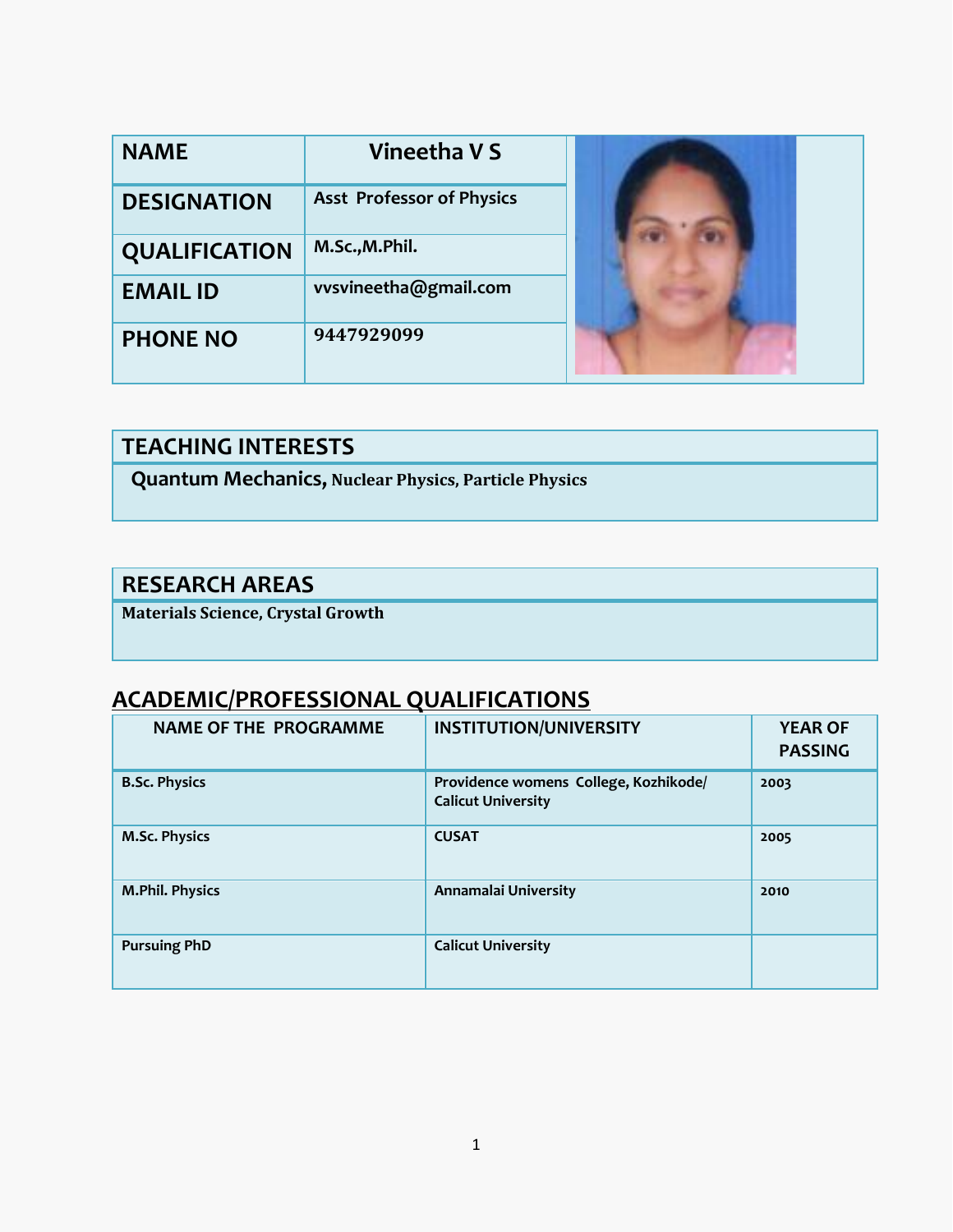| <b>NAME</b>          | Vineetha V S                     |  |
|----------------------|----------------------------------|--|
| <b>DESIGNATION</b>   | <b>Asst Professor of Physics</b> |  |
| <b>QUALIFICATION</b> | M.Sc., M.Phil.                   |  |
| <b>EMAIL ID</b>      | vvsvineetha@gmail.com            |  |
| <b>PHONE NO</b>      | 9447929099                       |  |

#### **TEACHING INTERESTS**

 **Quantum Mechanics, Nuclear Physics, Particle Physics**

#### **RESEARCH AREAS**

**Materials Science, Crystal Growth**

# **ACADEMIC/PROFESSIONAL QUALIFICATIONS**

| <b>NAME OF THE PROGRAMME</b> | <b>INSTITUTION/UNIVERSITY</b>                                      | <b>YEAR OF</b><br><b>PASSING</b> |
|------------------------------|--------------------------------------------------------------------|----------------------------------|
| <b>B.Sc. Physics</b>         | Providence womens College, Kozhikode/<br><b>Calicut University</b> | 2003                             |
| <b>M.Sc. Physics</b>         | <b>CUSAT</b>                                                       | 2005                             |
| <b>M.Phil. Physics</b>       | Annamalai University                                               | 2010                             |
| <b>Pursuing PhD</b>          | <b>Calicut University</b>                                          |                                  |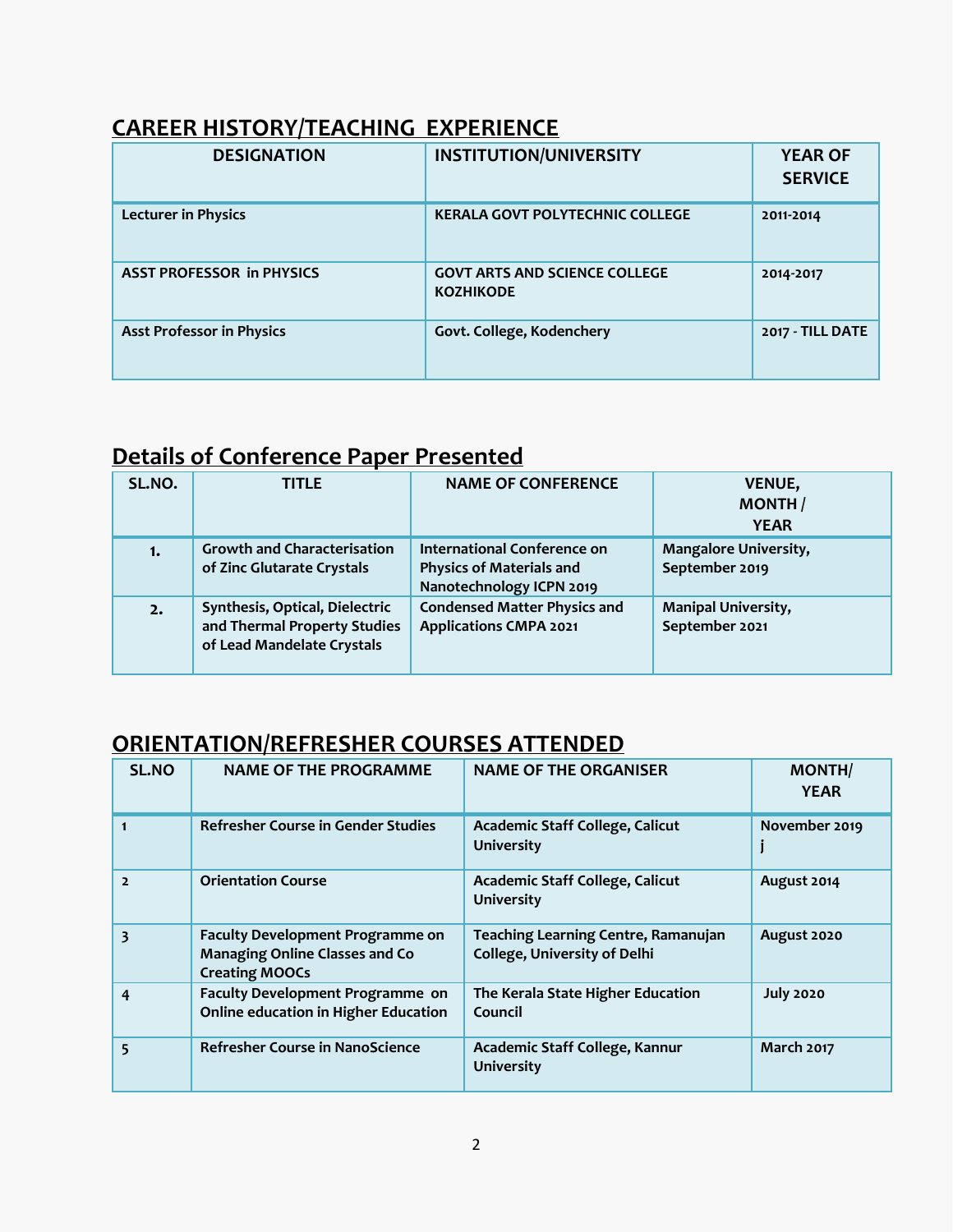# **CAREER HISTORY/TEACHING EXPERIENCE**

| <b>DESIGNATION</b>               | <b>INSTITUTION/UNIVERSITY</b>                            | <b>YEAR OF</b><br><b>SERVICE</b> |
|----------------------------------|----------------------------------------------------------|----------------------------------|
| <b>Lecturer in Physics</b>       | <b>KERALA GOVT POLYTECHNIC COLLEGE</b>                   | 2011-2014                        |
| <b>ASST PROFESSOR in PHYSICS</b> | <b>GOVT ARTS AND SCIENCE COLLEGE</b><br><b>KOZHIKODE</b> | 2014-2017                        |
| <b>Asst Professor in Physics</b> | Govt. College, Kodenchery                                | 2017 - TILL DATE                 |

## **Details of Conference Paper Presented**

| SL.NO. | <b>TITLE</b>                                                                                 | <b>NAME OF CONFERENCE</b>                                                                  | <b>VENUE,</b><br><b>MONTH</b><br><b>YEAR</b>   |
|--------|----------------------------------------------------------------------------------------------|--------------------------------------------------------------------------------------------|------------------------------------------------|
| 1.     | <b>Growth and Characterisation</b><br>of Zinc Glutarate Crystals                             | International Conference on<br><b>Physics of Materials and</b><br>Nanotechnology ICPN 2019 | <b>Mangalore University,</b><br>September 2019 |
| 2.     | Synthesis, Optical, Dielectric<br>and Thermal Property Studies<br>of Lead Mandelate Crystals | <b>Condensed Matter Physics and</b><br><b>Applications CMPA 2021</b>                       | <b>Manipal University,</b><br>September 2021   |

### **ORIENTATION/REFRESHER COURSES ATTENDED**

| <b>SL.NO</b>            | <b>NAME OF THE PROGRAMME</b>                                                                              | <b>NAME OF THE ORGANISER</b>                                               | <b>MONTH/</b><br><b>YEAR</b> |
|-------------------------|-----------------------------------------------------------------------------------------------------------|----------------------------------------------------------------------------|------------------------------|
|                         | <b>Refresher Course in Gender Studies</b>                                                                 | Academic Staff College, Calicut<br><b>University</b>                       | November 2019                |
| $\overline{2}$          | <b>Orientation Course</b>                                                                                 | Academic Staff College, Calicut<br><b>University</b>                       | August 2014                  |
| $\overline{\mathbf{3}}$ | <b>Faculty Development Programme on</b><br><b>Managing Online Classes and Co</b><br><b>Creating MOOCs</b> | Teaching Learning Centre, Ramanujan<br><b>College, University of Delhi</b> | August 2020                  |
| 4                       | Faculty Development Programme on<br><b>Online education in Higher Education</b>                           | The Kerala State Higher Education<br>Council                               | <b>July 2020</b>             |
| 5                       | <b>Refresher Course in NanoScience</b>                                                                    | Academic Staff College, Kannur<br><b>University</b>                        | <b>March 2017</b>            |